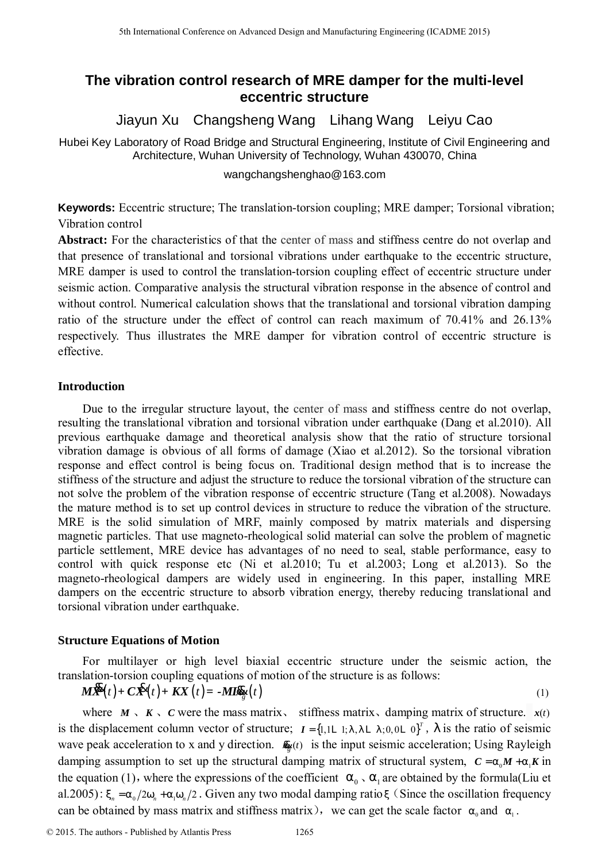# **The vibration control research of MRE damper for the multi-level eccentric structure**

Jiayun Xu Changsheng Wang Lihang Wang Leiyu Cao

Hubei Key Laboratory of Road Bridge and Structural Engineering, Institute of Civil Engineering and Architecture, Wuhan University of Technology, Wuhan 430070, China

wangchangshenghao@163.com

**Keywords:** Eccentric structure; The translation-torsion coupling; MRE damper; Torsional vibration; Vibration control

**Abstract:** For the characteristics of that the center of mass and stiffness centre do not overlap and that presence of translational and torsional vibrations under earthquake to the eccentric structure, MRE damper is used to control the translation-torsion coupling effect of eccentric structure under seismic action. Comparative analysis the structural vibration response in the absence of control and without control. Numerical calculation shows that the translational and torsional vibration damping ratio of the structure under the effect of control can reach maximum of 70.41% and 26.13% respectively. Thus illustrates the MRE damper for vibration control of eccentric structure is effective.

# **Introduction**

Due to the irregular structure layout, the center of mass and stiffness centre do not overlap, resulting the translational vibration and torsional vibration under earthquake (Dang et al.2010). All previous earthquake damage and theoretical analysis show that the ratio of structure torsional vibration damage is obvious of all forms of damage (Xiao et al.2012). So the torsional vibration response and effect control is being focus on. Traditional design method that is to increase the stiffness of the structure and adjust the structure to reduce the torsional vibration of the structure can not solve the problem of the vibration response of eccentric structure (Tang et al.2008). Nowadays the mature method is to set up control devices in structure to reduce the vibration of the structure. MRE is the solid simulation of MRF, mainly composed by matrix materials and dispersing magnetic particles. That use magneto-rheological solid material can solve the problem of magnetic particle settlement, MRE device has advantages of no need to seal, stable performance, easy to control with quick response etc (Ni et al.2010; Tu et al.2003; Long et al.2013). So the magneto-rheological dampers are widely used in engineering. In this paper, installing MRE dampers on the eccentric structure to absorb vibration energy, thereby reducing translational and torsional vibration under earthquake. <sup>516</sup> Letrematic Conference on Advanced Design and Manufacturing Engineering Real Conference on Advanced Design and Sincered Design and Sincered Design and Sincered Design and Sincered Design and Sincered Design and Since

# **Structure Equations of Motion**

For multilayer or high level biaxial eccentric structure under the seismic action, the translation-torsion coupling equations of motion of the structure is as follows:

$$
M\mathbf{R}(t) + C\mathbf{R}(t) + KX(t) = -M\mathbf{R}\mathbf{R}(t)
$$
\n(1)

where  $M \setminus K \setminus C$  were the mass matrix, stiffness matrix, damping matrix of structure.  $x(t)$ is the displacement column vector of structure;  $I = \{1, 1L, 1, I, L, 1, 0, 0L, 0\}^T$ , *I* is the ratio of seismic wave peak acceleration to x and y direction.  $\mathbf{R}_{g}(t)$  is the input seismic acceleration; Using Rayleigh damping assumption to set up the structural damping matrix of structural system,  $C = a_0 M + a_1 K$  in the equation (1), where the expressions of the coefficient  $a_0 \,$ ,  $a_1$  are obtained by the formula(Liu et al.2005):  $x_n = a_0/2w_n + a_1w_n/2$ . Given any two modal damping ratio x (Since the oscillation frequency can be obtained by mass matrix and stiffness matrix), we can get the scale factor  $a_0$  and  $a_1$ .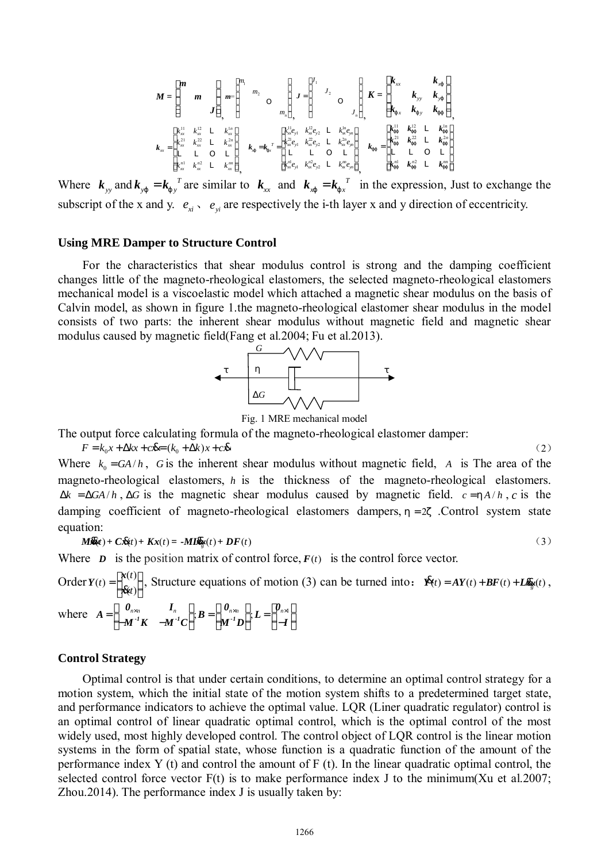$$
M = \begin{bmatrix} m & & \\ & m & \\ & & J \end{bmatrix} \bigg|_{m} = \begin{bmatrix} m_1 & & \\ & m_2 & \\ & & O \\ & & & m_n \end{bmatrix} \bigg|_{J} = \begin{bmatrix} J_1 & & & \\ & J_2 & \\ & & O \\ & & & J_n \end{bmatrix} \bigg|_{J} = \begin{bmatrix} k_{xx} & k_{xy} \\ & k_{yy} & k_{yy} \\ k_{yx} & k_{yy} & k_{yy} \end{bmatrix}
$$

$$
k_{xx} = \begin{bmatrix} k_{xx}^{11} & k_{xx}^{12} & L & k_{xx}^{11} \\ k_{xx}^{21} & k_{xx}^{22} & L & k_{xx}^{21} \\ k_{xx}^{21} & k_{xx}^{22} & L & k_{xx}^{22} \\ L_{xx}^{11} & L & L & L_{xx}^{11} \\ L_{xx}^{11} & L & L & L_{xx}^{11} \end{bmatrix} \bigg|_{k} = k_{yx}^{-T} = \begin{bmatrix} k_{xx}^{11} & k_{xx}^{12} & L & k_{yy}^{11} \\ k_{xx}^{21} & k_{xx}^{22} & L & k_{xx}^{22} \\ k_{xx}^{21} & k_{yy}^{22} & L & k_{xx}^{22} \\ k_{xx}^{11} & k_{yy}^{12} & L & L_{xx}^{11} \\ k_{xx}^{11} & k_{yy}^{12} & L & L_{xx}^{11} \\ k_{xy}^{11} & k_{xy}^{12} & L & k_{yy}^{11} \end{bmatrix}
$$

Where  $\mathbf{k}_{yy}$  and  $\mathbf{k}_{yj} = \mathbf{k}_{jy}^T$  are similar to  $\mathbf{k}_{xx}$  and  $\mathbf{k}_{xy} = \mathbf{k}_{jx}^T$  in the expression, Just to exchange the subscript of the x and y.  $e_{xi} \cdot e_{yi}$  are respectively the i-th layer x and y direction of eccentricity.

## **Using MRE Damper to Structure Control**

For the characteristics that shear modulus control is strong and the damping coefficient changes little of the magneto-rheological elastomers, the selected magneto-rheological elastomers mechanical model is a viscoelastic model which attached a magnetic shear modulus on the basis of Calvin model, as shown in figure 1.the magneto-rheological elastomer shear modulus in the model consists of two parts: the inherent shear modulus without magnetic field and magnetic shear modulus caused by magnetic field(Fang et al.2004; Fu et al.2013).





The output force calculating formula of the magneto-rheological elastomer damper:

 $F = k_0 x + \Delta k x + c \mathbf{\&} = (k_0 + \Delta k) x + c \mathbf{\&}$  (2) Where  $k_0 = GA/h$ , *G* is the inherent shear modulus without magnetic field, *A* is The area of the magneto-rheological elastomers, *h* is the thickness of the magneto-rheological elastomers.  $\Delta k = \Delta G A / h$ ,  $\Delta G$  is the magnetic shear modulus caused by magnetic field.  $c = h A / h$ , *c* is the damping coefficient of magneto-rheological elastomers dampers,  $h = 2z$ . Control system state equation:

$$
M\mathcal{R}(t) + C\mathcal{R}(t) + Kx(t) = -MI\mathcal{R}(t) + DF(t)
$$
\n(3)

Where  $D$  is the position matrix of control force,  $F(t)$  is the control force vector.

Order  $Y(t) = \begin{bmatrix} x(t) \\ x(t) \end{bmatrix}$  $t = \begin{bmatrix} x(t) \\ x(t) \end{bmatrix}$  $Y(t) = \begin{bmatrix} x(t) \\ x(t) \end{bmatrix}$ , Structure equations of motion (3) can be turned into:  $\mathbf{R}(t) = AY(t) + BF(t) + L\mathbf{R}(t)$ , where  $A = \begin{bmatrix} \mathbf{0}_{n \times n} & I_n \\ -M^{-1}K & -M^{-1}C \end{bmatrix}; B = \begin{bmatrix} \mathbf{0}_{n \times n} \\ M^{-1}D \end{bmatrix}; L = \begin{bmatrix} \mathbf{0}_{n \times 1} \\ -I \end{bmatrix}$ 

#### **Control Strategy**

Optimal control is that under certain conditions, to determine an optimal control strategy for a motion system, which the initial state of the motion system shifts to a predetermined target state, and performance indicators to achieve the optimal value. LQR (Liner quadratic regulator) control is an optimal control of linear quadratic optimal control, which is the optimal control of the most widely used, most highly developed control. The control object of LQR control is the linear motion systems in the form of spatial state, whose function is a quadratic function of the amount of the performance index Y (t) and control the amount of F (t). In the linear quadratic optimal control, the selected control force vector  $F(t)$  is to make performance index J to the minimum  $(Xu$  et al.2007; Zhou.2014). The performance index J is usually taken by: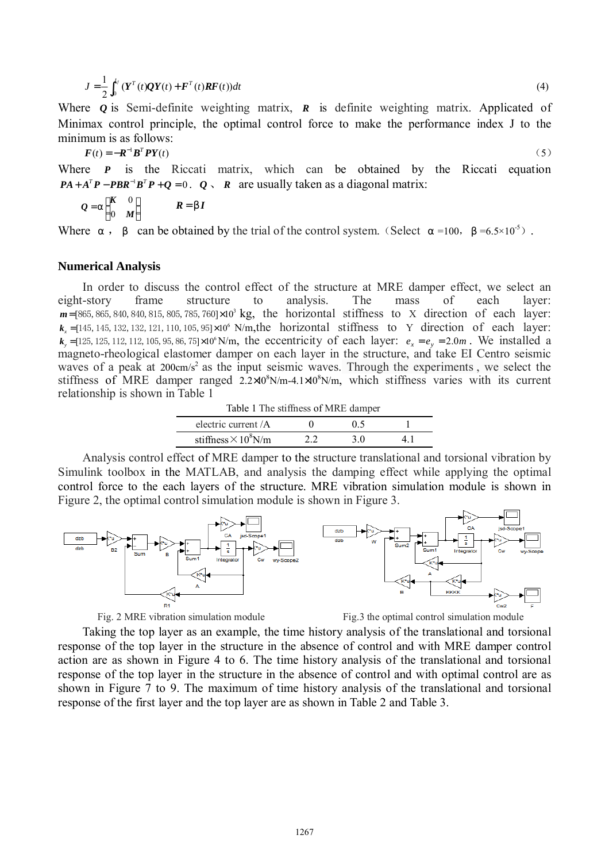$$
J = \frac{1}{2} \int_0^{t_f} (Y^T(t)QY(t) + F^T(t)RF(t))dt
$$
\n(4)

Where *Q* is Semi-definite weighting matrix, *R* is definite weighting matrix. Applicated of Minimax control principle, the optimal control force to make the performance index J to the minimum is as follows:

$$
\boldsymbol{F}(t) = -\boldsymbol{R}^{-1}\boldsymbol{B}^T\boldsymbol{P}\boldsymbol{Y}(t) \tag{5}
$$

Where *P* is the Riccati matrix, which can be obtained by the Riccati equation  $PA + A^T P - PBR^{-1}B^T P + Q = 0$ .  $Q \setminus R$  are usually taken as a diagonal matrix:

$$
Q = a \begin{bmatrix} K & 0 \\ 0 & M \end{bmatrix} \qquad \qquad R = bI
$$

Where *a*, *b* can be obtained by the trial of the control system. (Select  $a = 100$ ,  $b = 6.5 \times 10^{-5}$ ).

#### **Numerical Analysis**

In order to discuss the control effect of the structure at MRE damper effect, we select an <br>t-story frame structure to analysis. The mass of each layer eight-story frame structure to analysis. The mass of each layer:  $m = [865, 865, 840, 840, 815, 805, 785, 760] \times 10^3$  kg, the horizontal stiffness to X direction of each layer:  $k_x = [145, 145, 132, 132, 121, 110, 105, 95] \times 10^6$  N/m, the horizontal stiffness to Y direction of each layer:  $k_y = [125, 125, 112, 112, 105, 95, 86, 75] \times 10^6$  N/m, the eccentricity of each layer:  $e_x = e_y = 2.0$   $m$ . We installed a magneto-rheological elastomer damper on each layer in the structure, and take EI Centro seismic waves of a peak at 200cm/s<sup>2</sup> as the input seismic waves. Through the experiments, we select the stiffness of MRE damper ranged  $2.2 \times 10^8$ N/m-4.1 $\times 10^8$ N/m, which stiffness varies with its current relationship is shown in Table 1

Table 1 The stiffness of MRE damper electric current  $\overline{A}$  0 0.5 1 stiffness  $\times$  10<sup>8</sup>N/m 2.2 3.0 4.1

Analysis control effect of MRE damper to the structure translational and torsional vibration by Simulink toolbox in the MATLAB, and analysis the damping effect while applying the optimal control force to the each layers of the structure. MRE vibration simulation module is shown in Figure 2, the optimal control simulation module is shown in Figure 3.



Fig. 2 MRE vibration simulation module Fig.3 the optimal control simulation module

Taking the top layer as an example, the time history analysis of the translational and torsional response of the top layer in the structure in the absence of control and with MRE damper control action are as shown in Figure 4 to 6. The time history analysis of the translational and torsional response of the top layer in the structure in the absence of control and with optimal control are as shown in Figure 7 to 9. The maximum of time history analysis of the translational and torsional response of the first layer and the top layer are as shown in Table 2 and Table 3.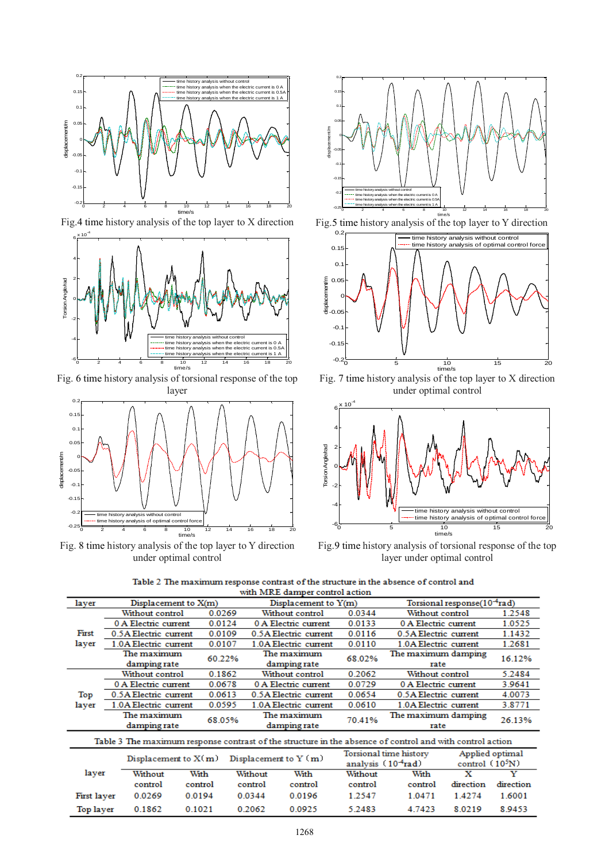

Fig.4 time history analysis of the top layer to X direction



Fig. 6 time history analysis of torsional response of the top layer



Fig. 8 time history analysis of the top layer to Y direction under optimal control



Fig.5 time history analysis of the top layer to Y direction



Fig. 7 time history analysis of the top layer to X direction under optimal control



Fig.9 time history analysis of torsional response of the top layer under optimal control

| Table 2 The maximum response contrast of the structure in the absence of control and |
|--------------------------------------------------------------------------------------|
| with MRE damper control action                                                       |

| with wike damper control action                                                                          |                        |                        |                        |                                                          |                           |                        |                             |           |  |
|----------------------------------------------------------------------------------------------------------|------------------------|------------------------|------------------------|----------------------------------------------------------|---------------------------|------------------------|-----------------------------|-----------|--|
| layer                                                                                                    | Displacement to $X(m)$ |                        | Displacement to $Y(m)$ | Torsional response(10 <sup>-4</sup> rad)                 |                           |                        |                             |           |  |
|                                                                                                          | Without control        | 0.0269                 |                        | Without control                                          | 0.0344                    | Without control        |                             | 1.2548    |  |
|                                                                                                          | 0 A Electric current   | 0.0124                 |                        | 0 A Electric current                                     |                           | 0 A Electric current   |                             | 1.0525    |  |
| First                                                                                                    | 0.5A Electric current  | 0.0109                 |                        | 0.5A Electric current                                    |                           | 0.5A Electric current  |                             | 1.1432    |  |
| layer                                                                                                    | 1.0A Electric current  | 0.0107                 |                        | 0.0110<br>1.0A Electric current<br>1.0A Electric current |                           |                        | 1.2681                      |           |  |
|                                                                                                          | The maximum            | 60.22%                 |                        | The maximum                                              | 68.02%                    |                        | The maximum damping<br>rate |           |  |
|                                                                                                          | damping rate           |                        |                        | damping rate                                             |                           |                        |                             |           |  |
|                                                                                                          | Without control        | 0.1862                 |                        | Without control                                          | 0.2062<br>Without control |                        |                             | 5.2484    |  |
|                                                                                                          | 0 A Electric current   | 0.0678                 |                        | 0 A Electric current                                     |                           | 0 A Electric current   |                             | 3.9641    |  |
| Top<br>layer                                                                                             | 0.5A Electric current  | 0.0613                 |                        | 0.5A Electric current                                    |                           | 0.5A Electric current  |                             | 4.0073    |  |
|                                                                                                          | 1.0A Electric current  | 0.0595                 |                        | 1.0A Electric current                                    |                           | 1.0A Electric current  |                             | 3.8771    |  |
|                                                                                                          | The maximum            | 68.05%                 |                        | The maximum                                              |                           | The maximum damping    |                             | 26.13%    |  |
|                                                                                                          | damping rate           |                        |                        | damping rate                                             |                           | rate                   |                             |           |  |
| Table 3 The maximum response contrast of the structure in the absence of control and with control action |                        |                        |                        |                                                          |                           |                        |                             |           |  |
|                                                                                                          |                        | Displacement to $X(m)$ |                        | Displacement to $Y(m)$                                   |                           | Torsional time history | Applied optimal             |           |  |
|                                                                                                          |                        |                        |                        |                                                          | analysis $(104rad)$       |                        | control $(105N)$            |           |  |
| layer                                                                                                    | Without                | With                   | Without                | With                                                     | Without                   | With                   | x                           | Y         |  |
|                                                                                                          | control                | control                | control                | control                                                  | control                   | control                | direction                   | direction |  |
| First layer                                                                                              | 0.0269                 | 0.0194                 | 0.0344                 | 0.0196                                                   | 1.2547                    | 1.0471                 | 1.4274                      | 1.6001    |  |
| Top layer                                                                                                | 0.1862                 | 0.1021                 | 0.2062                 | 0.0925                                                   | 5.2483                    | 4.7423                 | 8.0219                      | 8.9453    |  |